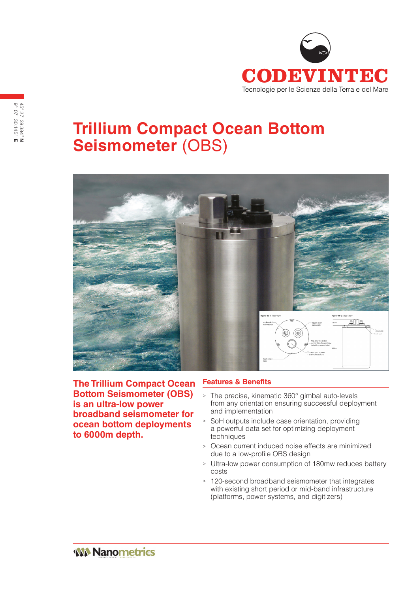

## **Trillium Compact Ocean Bottom Seismometer** (OBS)



**The Trillium Compact Ocean Bottom Seismometer (OBS) is an ultra-low power broadband seismometer for ocean bottom deployments to 6000m depth.**

## **Features & Benefits**

- <sup>&</sup>gt; The precise, kinematic 360° gimbal auto-levels from any orientation ensuring successful deployment and implementation
- <sup>&</sup>gt; SoH outputs include case orientation, providing a powerful data set for optimizing deployment techniques
- <sup>&</sup>gt; Ocean current induced noise effects are minimized due to a low-profile OBS design
- <sup>&</sup>gt; Ultra-low power consumption of 180mw reduces battery costs
- <sup>&</sup>gt; 120-second broadband seismometer that integrates with existing short period or mid-band infrastructure (platforms, power systems, and digitizers)